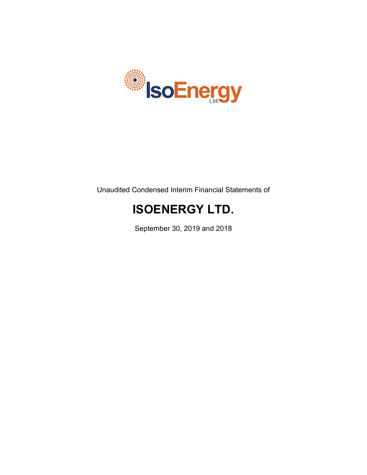

Unaudited Condensed Interim Financial Statements of

# **ISOENERGY LTD.**

September 30, 2019 and 2018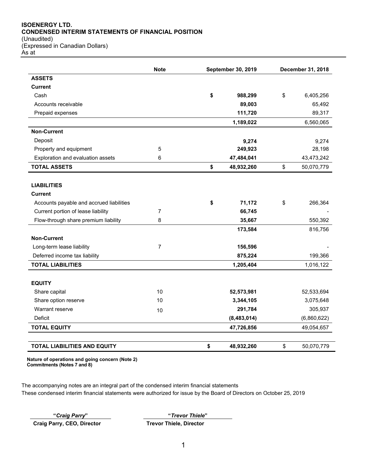## **ISOENERGY LTD. CONDENSED INTERIM STATEMENTS OF FINANCIAL POSITION**

(Unaudited) (Expressed in Canadian Dollars) As at

|                                          | <b>Note</b>    | <b>September 30, 2019</b> | December 31, 2018 |
|------------------------------------------|----------------|---------------------------|-------------------|
| <b>ASSETS</b>                            |                |                           |                   |
| Current                                  |                |                           |                   |
| Cash                                     |                | \$<br>988,299             | \$<br>6,405,256   |
| Accounts receivable                      |                | 89,003                    | 65,492            |
| Prepaid expenses                         |                | 111,720                   | 89,317            |
|                                          |                | 1,189,022                 | 6,560,065         |
| <b>Non-Current</b>                       |                |                           |                   |
| Deposit                                  |                | 9,274                     | 9,274             |
| Property and equipment                   | 5              | 249,923                   | 28,198            |
| Exploration and evaluation assets        | 6              | 47,484,041                | 43,473,242        |
| <b>TOTAL ASSETS</b>                      |                | \$<br>48,932,260          | \$<br>50,070,779  |
|                                          |                |                           |                   |
| <b>LIABILITIES</b>                       |                |                           |                   |
| <b>Current</b>                           |                |                           |                   |
| Accounts payable and accrued liabilities |                | \$<br>71,172              | \$<br>266,364     |
| Current portion of lease liability       | $\overline{7}$ | 66,745                    |                   |
| Flow-through share premium liability     | 8              | 35,667                    | 550,392           |
|                                          |                | 173,584                   | 816,756           |
| <b>Non-Current</b>                       |                |                           |                   |
| Long-term lease liability                | 7              | 156,596                   |                   |
| Deferred income tax liability            |                | 875,224                   | 199,366           |
| <b>TOTAL LIABILITIES</b>                 |                | 1,205,404                 | 1,016,122         |
| <b>EQUITY</b>                            |                |                           |                   |
| Share capital                            | 10             | 52,573,981                | 52,533,694        |
| Share option reserve                     | 10             | 3,344,105                 | 3,075,648         |
| Warrant reserve                          |                | 291,784                   | 305,937           |
| Deficit                                  | 10             | (8,483,014)               | (6,860,622)       |
| <b>TOTAL EQUITY</b>                      |                | 47,726,856                | 49,054,657        |
|                                          |                |                           |                   |
| <b>TOTAL LIABILITIES AND EQUITY</b>      |                | \$<br>48,932,260          | \$<br>50,070,779  |

**Nature of operations and going concern (Note 2) Commitments (Notes 7 and 8)**

The accompanying notes are an integral part of the condensed interim financial statements These condensed interim financial statements were authorized for issue by the Board of Directors on October 25, 2019

**Craig Parry, CEO, Director Trevor Thiele, Director**

**"***Craig Parry***" "***Trevor Thiele***"**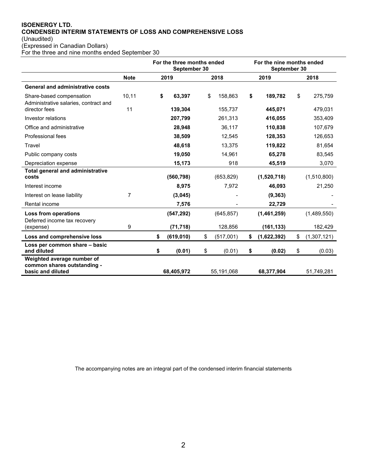## **ISOENERGY LTD. CONDENSED INTERIM STATEMENTS OF LOSS AND COMPREHENSIVE LOSS** (Unaudited)

(Expressed in Canadian Dollars)

For the three and nine months ended September 30

|                                                                   |             | For the three months ended<br>September 30 |            |    | For the nine months ended<br>September 30 |    |             |    |             |
|-------------------------------------------------------------------|-------------|--------------------------------------------|------------|----|-------------------------------------------|----|-------------|----|-------------|
|                                                                   | <b>Note</b> |                                            | 2019       |    | 2018                                      |    | 2019        |    | 2018        |
| <b>General and administrative costs</b>                           |             |                                            |            |    |                                           |    |             |    |             |
| Share-based compensation<br>Administrative salaries, contract and | 10,11       | \$                                         | 63,397     | \$ | 158,863                                   | \$ | 189,782     | \$ | 275,759     |
| director fees                                                     | 11          |                                            | 139,304    |    | 155,737                                   |    | 445,071     |    | 479,031     |
| Investor relations                                                |             |                                            | 207,799    |    | 261,313                                   |    | 416,055     |    | 353,409     |
| Office and administrative                                         |             |                                            | 28,948     |    | 36,117                                    |    | 110,838     |    | 107,679     |
| Professional fees                                                 |             |                                            | 38,509     |    | 12,545                                    |    | 128,353     |    | 126,653     |
| Travel                                                            |             |                                            | 48,618     |    | 13,375                                    |    | 119,822     |    | 81,654      |
| Public company costs                                              |             |                                            | 19,050     |    | 14,961                                    |    | 65,278      |    | 83,545      |
| Depreciation expense                                              |             |                                            | 15,173     |    | 918                                       |    | 45,519      |    | 3,070       |
| <b>Total general and administrative</b><br>costs                  |             |                                            | (560, 798) |    | (653, 829)                                |    | (1,520,718) |    | (1,510,800) |
| Interest income                                                   |             |                                            | 8,975      |    | 7,972                                     |    | 46,093      |    | 21,250      |
| Interest on lease liability                                       | 7           |                                            | (3,045)    |    |                                           |    | (9, 363)    |    |             |
| Rental income                                                     |             |                                            | 7,576      |    |                                           |    | 22,729      |    |             |
| Loss from operations<br>Deferred income tax recovery              |             |                                            | (547, 292) |    | (645, 857)                                |    | (1,461,259) |    | (1,489,550) |
| (expense)                                                         | 9           |                                            | (71, 718)  |    | 128,856                                   |    | (161, 133)  |    | 182,429     |
| Loss and comprehensive loss                                       |             | \$                                         | (619, 010) | \$ | (517,001)                                 | \$ | (1,622,392) | \$ | (1,307,121) |
| Loss per common share - basic<br>and diluted                      |             | \$                                         | (0.01)     | \$ | (0.01)                                    | \$ | (0.02)      | \$ | (0.03)      |
| Weighted average number of<br>common shares outstanding -         |             |                                            |            |    |                                           |    |             |    |             |
| basic and diluted                                                 |             |                                            | 68,405,972 |    | 55,191,068                                |    | 68,377,904  |    | 51,749,281  |

The accompanying notes are an integral part of the condensed interim financial statements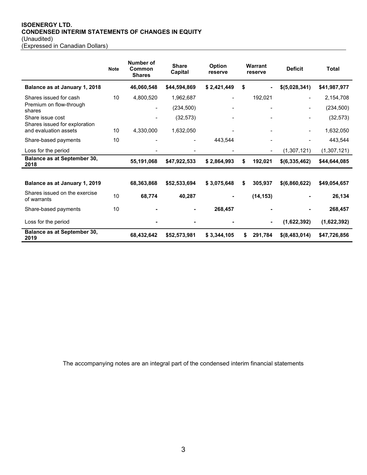## **ISOENERGY LTD. CONDENSED INTERIM STATEMENTS OF CHANGES IN EQUITY** (Unaudited)

(Expressed in Canadian Dollars)

|                                                        | <b>Note</b> | Number of<br>Common<br><b>Shares</b> | <b>Share</b><br>Capital | <b>Option</b><br>reserve | Warrant<br>reserve |                          | <b>Deficit</b> | <b>Total</b> |
|--------------------------------------------------------|-------------|--------------------------------------|-------------------------|--------------------------|--------------------|--------------------------|----------------|--------------|
| Balance as at January 1, 2018                          |             | 46,060,548                           | \$44,594,869            | \$2,421,449              | \$                 | ٠                        | \$(5,028,341)  | \$41,987,977 |
| Shares issued for cash                                 | 10          | 4,800,520                            | 1,962,687               |                          |                    | 192,021                  |                | 2,154,708    |
| Premium on flow-through<br>shares                      |             | $\blacksquare$                       | (234, 500)              |                          |                    |                          |                | (234, 500)   |
| Share issue cost                                       |             |                                      | (32, 573)               |                          |                    |                          |                | (32, 573)    |
| Shares issued for exploration<br>and evaluation assets | 10          | 4,330,000                            | 1,632,050               |                          |                    |                          |                | 1,632,050    |
| Share-based payments                                   | 10          |                                      |                         | 443.544                  |                    |                          |                | 443,544      |
| Loss for the period                                    |             |                                      |                         |                          |                    | $\overline{\phantom{0}}$ | (1,307,121)    | (1,307,121)  |
| <b>Balance as at September 30,</b><br>2018             |             | 55,191,068                           | \$47,922,533            | \$2,864,993              | \$                 | 192,021                  | \$(6,335,462)  | \$44,644,085 |
|                                                        |             |                                      |                         |                          |                    |                          |                |              |
| Balance as at January 1, 2019                          |             | 68,363,868                           | \$52,533,694            | \$3,075,648              | \$                 | 305,937                  | \$(6,860,622)  | \$49,054,657 |
| Shares issued on the exercise<br>of warrants           | 10          | 68,774                               | 40,287                  |                          |                    | (14, 153)                |                | 26,134       |
| Share-based payments                                   | 10          |                                      |                         | 268,457                  |                    |                          |                | 268,457      |
| Loss for the period                                    |             |                                      |                         |                          |                    | $\blacksquare$           | (1,622,392)    | (1,622,392)  |
| <b>Balance as at September 30,</b><br>2019             |             | 68,432,642                           | \$52,573,981            | \$3,344,105              | S                  | 291,784                  | \$(8,483,014)  | \$47,726,856 |

The accompanying notes are an integral part of the condensed interim financial statements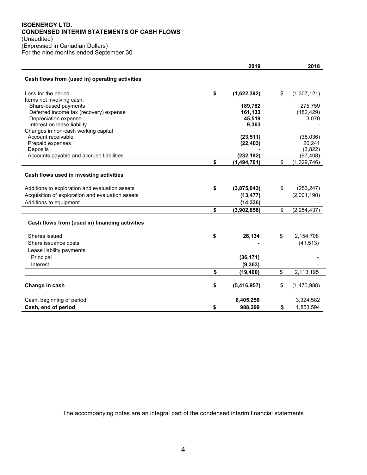## **ISOENERGY LTD. CONDENSED INTERIM STATEMENTS OF CASH FLOWS**

(Unaudited) (Expressed in Canadian Dollars)

For the nine months ended September 30

|                                                   | 2019              | 2018                |
|---------------------------------------------------|-------------------|---------------------|
| Cash flows from (used in) operating activities    |                   |                     |
| Loss for the period                               | \$<br>(1,622,392) | \$<br>(1,307,121)   |
| Items not involving cash:<br>Share-based payments | 189,782           | 275,759             |
| Deferred income tax (recovery) expense            | 161,133           | (182, 429)          |
| Depreciation expense                              | 45,519            | 3,070               |
| Interest on lease liability                       | 9,363             |                     |
| Changes in non-cash working capital               |                   |                     |
| Account receivable                                | (23, 511)         | (38,036)            |
| Prepaid expenses                                  | (22, 403)         | 20,241              |
| Deposits                                          |                   | (3,822)             |
| Accounts payable and accrued liabilities          | (232, 192)        | (97, 408)           |
|                                                   | \$<br>(1,494,701) | \$<br>(1,329,746)   |
| Cash flows used in investing activities           |                   |                     |
| Additions to exploration and evaluation assets    | \$<br>(3,875,043) | \$<br>(253, 247)    |
| Acquisition of exploration and evaluation assets  | (13, 477)         | (2,001,190)         |
| Additions to equipment                            | (14, 336)         |                     |
|                                                   | \$<br>(3,902,856) | \$<br>(2, 254, 437) |
| Cash flows from (used in) financing activities    |                   |                     |
| Shares issued                                     | \$<br>26,134      | \$<br>2,154,708     |
| Share issuance costs                              |                   | (41, 513)           |
| Lease liability payments:                         |                   |                     |
| Principal                                         | (36, 171)         |                     |
| Interest                                          | (9, 363)          |                     |
|                                                   | \$<br>(19, 400)   | \$<br>2,113,195     |
| Change in cash                                    | \$<br>(5,416,957) | \$<br>(1,470,988)   |
| Cash, beginning of period                         | 6,405,256         | 3,324,582           |
| Cash, end of period                               | \$<br>988,299     | \$<br>1,853,594     |

The accompanying notes are an integral part of the condensed interim financial statements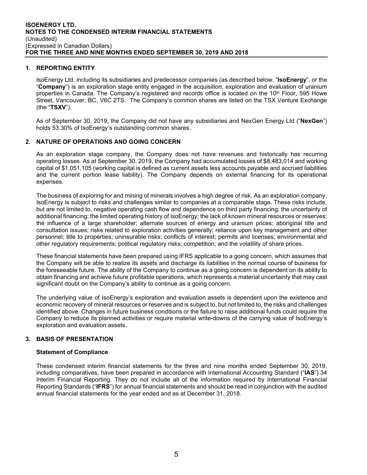## **1. REPORTING ENTITY**

IsoEnergy Ltd. including its subsidiaries and predecessor companies (as described below, "**IsoEnergy**", or the "**Company**") is an exploration stage entity engaged in the acquisition, exploration and evaluation of uranium properties in Canada. The Company's registered and records office is located on the 10<sup>th</sup> Floor, 595 Howe Street, Vancouver, BC, V6C 2TS. The Company's common shares are listed on the TSX Venture Exchange (the "**TSXV**").

As of September 30, 2019, the Company did not have any subsidiaries and NexGen Energy Ltd ("**NexGen**") holds 53.30% of IsoEnergy's outstanding common shares.

## **2. NATURE OF OPERATIONS AND GOING CONCERN**

As an exploration stage company, the Company does not have revenues and historically has recurring operating losses. As at September 30, 2019, the Company had accumulated losses of \$8,483,014 and working capital of \$1,051,105 (working capital is defined as current assets less accounts payable and accrued liabilities and the current portion lease liability). The Company depends on external financing for its operational expenses.

The business of exploring for and mining of minerals involves a high degree of risk. As an exploration company, IsoEnergy is subject to risks and challenges similar to companies at a comparable stage. These risks include, but are not limited to, negative operating cash flow and dependence on third party financing; the uncertainty of additional financing; the limited operating history of IsoEnergy; the lack of known mineral resources or reserves; the influence of a large shareholder; alternate sources of energy and uranium prices; aboriginal title and consultation issues; risks related to exploration activities generally; reliance upon key management and other personnel; title to properties; uninsurable risks; conflicts of interest; permits and licenses; environmental and other regulatory requirements; political regulatory risks; competition; and the volatility of share prices.

These financial statements have been prepared using IFRS applicable to a going concern, which assumes that the Company will be able to realize its assets and discharge its liabilities in the normal course of business for the foreseeable future. The ability of the Company to continue as a going concern is dependent on its ability to obtain financing and achieve future profitable operations, which represents a material uncertainty that may cast significant doubt on the Company's ability to continue as a going concern.

The underlying value of IsoEnergy's exploration and evaluation assets is dependent upon the existence and economic recovery of mineral resources or reserves and is subject to, but not limited to, the risks and challenges identified above. Changes in future business conditions or the failure to raise additional funds could require the Company to reduce its planned activities or require material write-downs of the carrying value of IsoEnergy's exploration and evaluation assets.

#### **3. BASIS OF PRESENTATION**

#### **Statement of Compliance**

These condensed interim financial statements for the three and nine months ended September 30, 2019, including comparatives, have been prepared in accordance with International Accounting Standard ("**IAS**") 34 Interim Financial Reporting. They do not include all of the information required by International Financial Reporting Standards ("**IFRS**") for annual financial statements and should be read in conjunction with the audited annual financial statements for the year ended and as at December 31, 2018.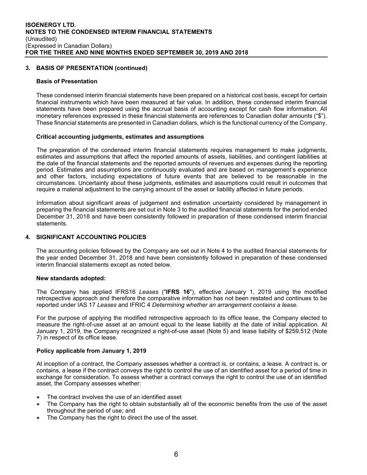## **3. BASIS OF PRESENTATION (continued)**

#### **Basis of Presentation**

These condensed interim financial statements have been prepared on a historical cost basis, except for certain financial instruments which have been measured at fair value. In addition, these condensed interim financial statements have been prepared using the accrual basis of accounting except for cash flow information. All monetary references expressed in these financial statements are references to Canadian dollar amounts ("\$"). These financial statements are presented in Canadian dollars, which is the functional currency of the Company.

#### **Critical accounting judgments, estimates and assumptions**

The preparation of the condensed interim financial statements requires management to make judgments, estimates and assumptions that affect the reported amounts of assets, liabilities, and contingent liabilities at the date of the financial statements and the reported amounts of revenues and expenses during the reporting period. Estimates and assumptions are continuously evaluated and are based on management's experience and other factors, including expectations of future events that are believed to be reasonable in the circumstances. Uncertainty about these judgments, estimates and assumptions could result in outcomes that require a material adjustment to the carrying amount of the asset or liability affected in future periods.

Information about significant areas of judgement and estimation uncertainty considered by management in preparing the financial statements are set out in Note 3 to the audited financial statements for the period ended December 31, 2018 and have been consistently followed in preparation of these condensed interim financial statements.

#### **4. SIGNIFICANT ACCOUNTING POLICIES**

The accounting policies followed by the Company are set out in Note 4 to the audited financial statements for the year ended December 31, 2018 and have been consistently followed in preparation of these condensed interim financial statements except as noted below.

#### **New standards adopted:**

The Company has applied IFRS16 *Leases* ("**IFRS 16**"), effective January 1, 2019 using the modified retrospective approach and therefore the comparative information has not been restated and continues to be reported under IAS 17 *Leases* and IFRIC 4 *Determining whether an arrangement contains a lease.*

For the purpose of applying the modified retrospective approach to its office lease, the Company elected to measure the right-of-use asset at an amount equal to the lease liability at the date of initial application. At January 1, 2019, the Company recognized a right-of-use asset (Note 5) and lease liability of \$259,512 (Note 7) in respect of its office lease.

#### **Policy applicable from January 1, 2019**

At inception of a contract, the Company assesses whether a contract is, or contains, a lease. A contract is, or contains, a lease if the contract conveys the right to control the use of an identified asset for a period of time in exchange for consideration. To assess whether a contract conveys the right to control the use of an identified asset, the Company assesses whether:

- The contract involves the use of an identified asset
- The Company has the right to obtain substantially all of the economic benefits from the use of the asset throughout the period of use; and
- The Company has the right to direct the use of the asset.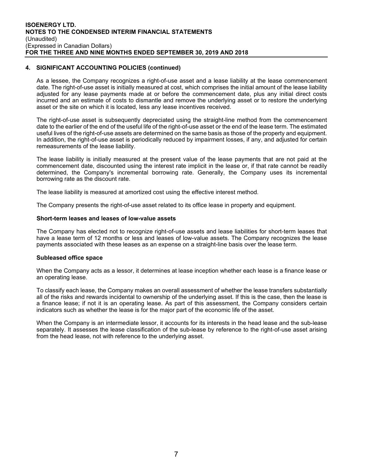## **4. SIGNIFICANT ACCOUNTING POLICIES (continued)**

As a lessee, the Company recognizes a right-of-use asset and a lease liability at the lease commencement date. The right-of-use asset is initially measured at cost, which comprises the initial amount of the lease liability adjusted for any lease payments made at or before the commencement date, plus any initial direct costs incurred and an estimate of costs to dismantle and remove the underlying asset or to restore the underlying asset or the site on which it is located, less any lease incentives received.

The right-of-use asset is subsequently depreciated using the straight-line method from the commencement date to the earlier of the end of the useful life of the right-of-use asset or the end of the lease term. The estimated useful lives of the right-of-use assets are determined on the same basis as those of the property and equipment. In addition, the right-of-use asset is periodically reduced by impairment losses, if any, and adjusted for certain remeasurements of the lease liability.

The lease liability is initially measured at the present value of the lease payments that are not paid at the commencement date, discounted using the interest rate implicit in the lease or, if that rate cannot be readily determined, the Company's incremental borrowing rate. Generally, the Company uses its incremental borrowing rate as the discount rate.

The lease liability is measured at amortized cost using the effective interest method.

The Company presents the right-of-use asset related to its office lease in property and equipment.

#### **Short-term leases and leases of low-value assets**

The Company has elected not to recognize right-of-use assets and lease liabilities for short-term leases that have a lease term of 12 months or less and leases of low-value assets. The Company recognizes the lease payments associated with these leases as an expense on a straight-line basis over the lease term.

#### **Subleased office space**

When the Company acts as a lessor, it determines at lease inception whether each lease is a finance lease or an operating lease.

To classify each lease, the Company makes an overall assessment of whether the lease transfers substantially all of the risks and rewards incidental to ownership of the underlying asset. If this is the case, then the lease is a finance lease; if not it is an operating lease. As part of this assessment, the Company considers certain indicators such as whether the lease is for the major part of the economic life of the asset.

When the Company is an intermediate lessor, it accounts for its interests in the head lease and the sub-lease separately. It assesses the lease classification of the sub-lease by reference to the right-of-use asset arising from the head lease, not with reference to the underlying asset.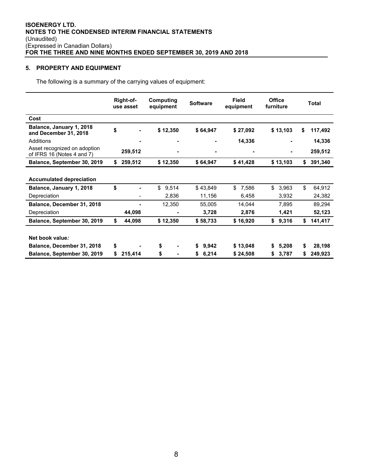## **5. PROPERTY AND EQUIPMENT**

The following is a summary of the carrying values of equipment:

|                                                            | Right-of-<br>use asset | Computing<br>equipment | <b>Software</b> | <b>Office</b><br><b>Field</b><br>equipment<br>furniture |          |    | <b>Total</b>   |    |         |
|------------------------------------------------------------|------------------------|------------------------|-----------------|---------------------------------------------------------|----------|----|----------------|----|---------|
| Cost                                                       |                        |                        |                 |                                                         |          |    |                |    |         |
| Balance, January 1, 2018<br>and December 31, 2018          | \$                     | \$12,350               | \$64,947        |                                                         | \$27,092 |    | \$13,103       | S  | 117,492 |
| Additions                                                  |                        |                        |                 |                                                         | 14,336   |    |                |    | 14,336  |
| Asset recognized on adoption<br>of IFRS 16 (Notes 4 and 7) | 259,512                |                        |                 |                                                         |          |    | $\blacksquare$ |    | 259,512 |
| Balance, September 30, 2019                                | \$<br>259,512          | \$12,350               | \$64,947        |                                                         | \$41,428 |    | \$13,103       | \$ | 391,340 |
| <b>Accumulated depreciation</b>                            |                        |                        |                 |                                                         |          |    |                |    |         |
| Balance, January 1, 2018                                   | \$                     | \$<br>9,514            | \$43,849        | \$                                                      | 7,586    | \$ | 3,963          | \$ | 64,912  |
| Depreciation                                               |                        | 2,836                  | 11,156          |                                                         | 6,458    |    | 3,932          |    | 24,382  |
| Balance, December 31, 2018                                 |                        | 12,350                 | 55,005          |                                                         | 14,044   |    | 7,895          |    | 89,294  |
| Depreciation                                               | 44,098                 | ٠                      | 3,728           |                                                         | 2,876    |    | 1,421          |    | 52,123  |
| Balance, September 30, 2019                                | \$<br>44,098           | \$12,350               | \$58,733        |                                                         | \$16,920 | \$ | 9,316          | \$ | 141,417 |
|                                                            |                        |                        |                 |                                                         |          |    |                |    |         |
| Net book value:                                            |                        |                        |                 |                                                         |          |    |                |    |         |
| Balance, December 31, 2018                                 | \$                     | \$                     | \$<br>9,942     |                                                         | \$13,048 | S. | 5,208          | \$ | 28,198  |
| Balance, September 30, 2019                                | \$<br>215,414          | \$                     | \$<br>6,214     |                                                         | \$24,508 | \$ | 3,787          | \$ | 249,923 |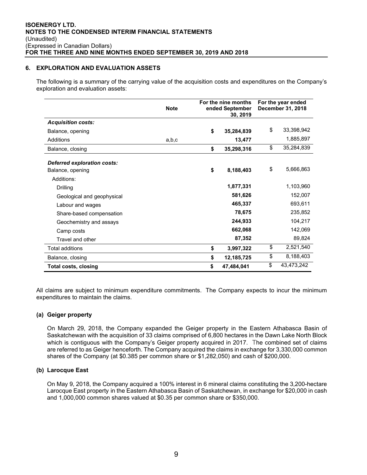#### **6. EXPLORATION AND EVALUATION ASSETS**

The following is a summary of the carrying value of the acquisition costs and expenditures on the Company's exploration and evaluation assets:

|                                    | <b>Note</b> | For the nine months<br>ended September<br>30, 2019 |            | For the year ended<br>December 31, 2018 |  |
|------------------------------------|-------------|----------------------------------------------------|------------|-----------------------------------------|--|
| <b>Acquisition costs:</b>          |             |                                                    |            |                                         |  |
| Balance, opening                   |             | \$                                                 | 35,284,839 | \$<br>33,398,942                        |  |
| Additions                          | a,b,c       |                                                    | 13,477     | 1,885,897                               |  |
| Balance, closing                   |             | \$                                                 | 35,298,316 | \$<br>35,284,839                        |  |
| <b>Deferred exploration costs:</b> |             |                                                    |            |                                         |  |
| Balance, opening                   |             | \$                                                 | 8,188,403  | \$<br>5,666,863                         |  |
| Additions:                         |             |                                                    |            |                                         |  |
| Drilling                           |             |                                                    | 1,877,331  | 1,103,960                               |  |
| Geological and geophysical         |             |                                                    | 581,626    | 152,007                                 |  |
| Labour and wages                   |             |                                                    | 465,337    | 693,611                                 |  |
| Share-based compensation           |             |                                                    | 78,675     | 235,852                                 |  |
| Geochemistry and assays            |             |                                                    | 244,933    | 104,217                                 |  |
| Camp costs                         |             |                                                    | 662,068    | 142,069                                 |  |
| Travel and other                   |             |                                                    | 87,352     | 89,824                                  |  |
| <b>Total additions</b>             |             | \$                                                 | 3,997,322  | \$<br>2,521,540                         |  |
| Balance, closing                   |             | \$                                                 | 12,185,725 | \$<br>8,188,403                         |  |
| Total costs, closing               |             | \$                                                 | 47,484,041 | \$<br>43,473,242                        |  |

All claims are subject to minimum expenditure commitments. The Company expects to incur the minimum expenditures to maintain the claims.

#### **(a) Geiger property**

On March 29, 2018, the Company expanded the Geiger property in the Eastern Athabasca Basin of Saskatchewan with the acquisition of 33 claims comprised of 6,800 hectares in the Dawn Lake North Block which is contiguous with the Company's Geiger property acquired in 2017. The combined set of claims are referred to as Geiger henceforth. The Company acquired the claims in exchange for 3,330,000 common shares of the Company (at \$0.385 per common share or \$1,282,050) and cash of \$200,000.

#### **(b) Larocque East**

On May 9, 2018, the Company acquired a 100% interest in 6 mineral claims constituting the 3,200-hectare Larocque East property in the Eastern Athabasca Basin of Saskatchewan, in exchange for \$20,000 in cash and 1,000,000 common shares valued at \$0.35 per common share or \$350,000.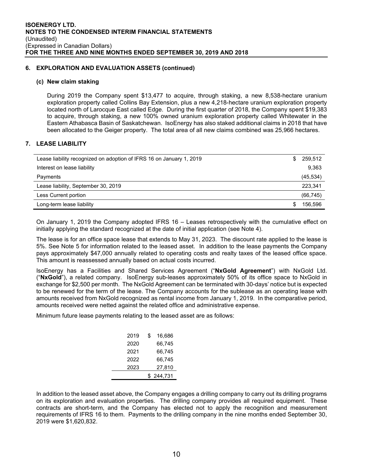#### **6. EXPLORATION AND EVALUATION ASSETS (continued)**

#### **(c) New claim staking**

During 2019 the Company spent \$13,477 to acquire, through staking, a new 8,538-hectare uranium exploration property called Collins Bay Extension, plus a new 4,218-hectare uranium exploration property located north of Larocque East called Edge. During the first quarter of 2018, the Company spent \$19,383 to acquire, through staking, a new 100% owned uranium exploration property called Whitewater in the Eastern Athabasca Basin of Saskatchewan. IsoEnergy has also staked additional claims in 2018 that have been allocated to the Geiger property. The total area of all new claims combined was 25,966 hectares.

## **7. LEASE LIABILITY**

| Lease liability recognized on adoption of IFRS 16 on January 1, 2019 | S | 259,512   |
|----------------------------------------------------------------------|---|-----------|
| Interest on lease liability                                          |   | 9,363     |
| Payments                                                             |   | (45, 534) |
| Lease liability, September 30, 2019                                  |   | 223,341   |
| Less Current portion                                                 |   | (66, 745) |
| Long-term lease liability                                            | S | 156.596   |

On January 1, 2019 the Company adopted IFRS 16 – Leases retrospectively with the cumulative effect on initially applying the standard recognized at the date of initial application (see Note 4).

The lease is for an office space lease that extends to May 31, 2023. The discount rate applied to the lease is 5%. See Note 5 for information related to the leased asset. In addition to the lease payments the Company pays approximately \$47,000 annually related to operating costs and realty taxes of the leased office space. This amount is reassessed annually based on actual costs incurred.

IsoEnergy has a Facilities and Shared Services Agreement ("**NxGold Agreement**") with NxGold Ltd. ("**NxGold**"), a related company. IsoEnergy sub-leases approximately 50% of its office space to NxGold in exchange for \$2,500 per month. The NxGold Agreement can be terminated with 30-days' notice but is expected to be renewed for the term of the lease. The Company accounts for the sublease as an operating lease with amounts received from NxGold recognized as rental income from January 1, 2019. In the comparative period, amounts received were netted against the related office and administrative expense.

Minimum future lease payments relating to the leased asset are as follows:

| 2019 | \$<br>16.686 |
|------|--------------|
| 2020 | 66,745       |
| 2021 | 66,745       |
| 2022 | 66.745       |
| 2023 | 27,810       |
|      | 244,731      |

In addition to the leased asset above, the Company engages a drilling company to carry out its drilling programs on its exploration and evaluation properties. The drilling company provides all required equipment. These contracts are short-term, and the Company has elected not to apply the recognition and measurement requirements of IFRS 16 to them. Payments to the drilling company in the nine months ended September 30, 2019 were \$1,620,832.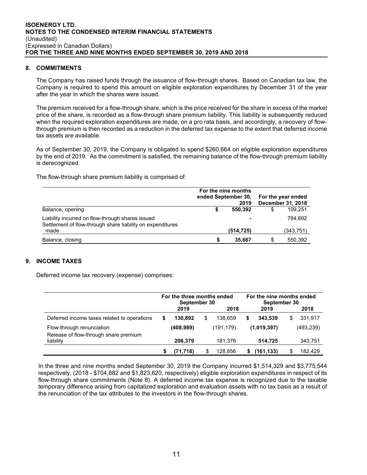#### **8. COMMITMENTS**

The Company has raised funds through the issuance of flow-through shares. Based on Canadian tax law, the Company is required to spend this amount on eligible exploration expenditures by December 31 of the year after the year in which the shares were issued.

The premium received for a flow-through share, which is the price received for the share in excess of the market price of the share, is recorded as a flow-through share premium liability. This liability is subsequently reduced when the required exploration expenditures are made, on a pro rata basis, and accordingly, a recovery of flowthrough premium is then recorded as a reduction in the deferred tax expense to the extent that deferred income tax assets are available.

As of September 30, 2019, the Company is obligated to spend \$260,664 on eligible exploration expenditures by the end of 2019. As the commitment is satisfied, the remaining balance of the flow-through premium liability is derecognized.

The flow-through share premium liability is comprised of:

|                                                                                                                | For the nine months<br>ended September 30.<br>2019 |   | For the year ended<br><b>December 31, 2018</b> |
|----------------------------------------------------------------------------------------------------------------|----------------------------------------------------|---|------------------------------------------------|
| Balance, opening                                                                                               | 550.392                                            | S | 109.251                                        |
| Liability incurred on flow-through shares issued<br>Settlement of flow-through share liability on expenditures | -                                                  |   | 784.892                                        |
| made                                                                                                           | (514, 725)                                         |   | (343,751)                                      |
| Balance, closing                                                                                               | 35,667                                             |   | 550,392                                        |

## **9. INCOME TAXES**

Deferred income tax recovery (expense) comprises:

|                                                                    | For the three months ended<br>September 30 |            |    | For the nine months ended<br>September 30 |   |             |    |            |
|--------------------------------------------------------------------|--------------------------------------------|------------|----|-------------------------------------------|---|-------------|----|------------|
|                                                                    |                                            | 2019       |    | 2018                                      |   | 2019        |    | 2018       |
| Deferred income taxes related to operations                        | S                                          | 130.892    | \$ | 138.659                                   | S | 343.539     | \$ | 331,917    |
| Flow-through renunciation<br>Release of flow-through share premium |                                            | (408, 989) |    | (191,179)                                 |   | (1,019,397) |    | (493, 239) |
| liability                                                          |                                            | 206.379    |    | 181.376                                   |   | 514.725     |    | 343,751    |
|                                                                    | S                                          | (71, 718)  | \$ | 128.856                                   |   | (161,133)   | \$ | 182.429    |

In the three and nine months ended September 30, 2019 the Company incurred \$1,514,329 and \$3,775,544 respectively, (2018 - \$704,882 and \$1,823,620, respectively) eligible exploration expenditures in respect of its flow-through share commitments (Note 8). A deferred income tax expense is recognized due to the taxable temporary difference arising from capitalized exploration and evaluation assets with no tax basis as a result of the renunciation of the tax attributes to the investors in the flow-through shares.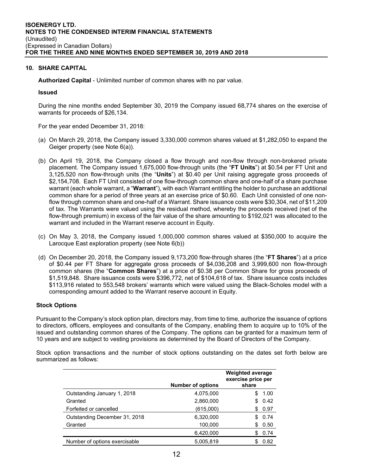#### **10. SHARE CAPITAL**

**Authorized Capital** - Unlimited number of common shares with no par value.

#### **Issued**

During the nine months ended September 30, 2019 the Company issued 68,774 shares on the exercise of warrants for proceeds of \$26,134.

For the year ended December 31, 2018:

- (a) On March 29, 2018, the Company issued 3,330,000 common shares valued at \$1,282,050 to expand the Geiger property (see Note 6(a)).
- (b) On April 19, 2018, the Company closed a flow through and non-flow through non-brokered private placement. The Company issued 1,675,000 flow-through units (the "**FT Units**") at \$0.54 per FT Unit and 3,125,520 non flow-through units (the "**Units**") at \$0.40 per Unit raising aggregate gross proceeds of \$2,154,708. Each FT Unit consisted of one flow-through common share and one-half of a share purchase warrant (each whole warrant, a "**Warrant**"), with each Warrant entitling the holder to purchase an additional common share for a period of three years at an exercise price of \$0.60. Each Unit consisted of one nonflow through common share and one-half of a Warrant. Share issuance costs were \$30,304, net of \$11,209 of tax. The Warrants were valued using the residual method, whereby the proceeds received (net of the flow-through premium) in excess of the fair value of the share amounting to \$192,021 was allocated to the warrant and included in the Warrant reserve account in Equity.
- (c) On May 3, 2018, the Company issued 1,000,000 common shares valued at \$350,000 to acquire the Larocque East exploration property (see Note 6(b))
- (d) On December 20, 2018, the Company issued 9,173,200 flow-through shares (the "**FT Shares**") at a price of \$0.44 per FT Share for aggregate gross proceeds of \$4,036,208 and 3,999,600 non flow-through common shares (the "**Common Shares**") at a price of \$0.38 per Common Share for gross proceeds of \$1,519,848. Share issuance costs were \$396,772, net of \$104,618 of tax. Share issuance costs includes \$113,916 related to 553,548 brokers' warrants which were valued using the Black-Scholes model with a corresponding amount added to the Warrant reserve account in Equity.

#### **Stock Options**

Pursuant to the Company's stock option plan, directors may, from time to time, authorize the issuance of options to directors, officers, employees and consultants of the Company, enabling them to acquire up to 10% of the issued and outstanding common shares of the Company. The options can be granted for a maximum term of 10 years and are subject to vesting provisions as determined by the Board of Directors of the Company.

Stock option transactions and the number of stock options outstanding on the dates set forth below are summarized as follows:

|                               | <b>Number of options</b> | <b>Weighted average</b><br>exercise price per<br>share |
|-------------------------------|--------------------------|--------------------------------------------------------|
| Outstanding January 1, 2018   | 4,075,000                | 1.00<br>S                                              |
| Granted                       | 2,860,000                | 0.42<br>S                                              |
| Forfeited or cancelled        | (615,000)                | 0.97<br>\$.                                            |
| Outstanding December 31, 2018 | 6,320,000                | 0.74<br>S                                              |
| Granted                       | 100,000                  | 0.50<br>S                                              |
|                               | 6,420,000                | 0.74<br>\$.                                            |
| Number of options exercisable | 5.005.819                | 0.82<br>S                                              |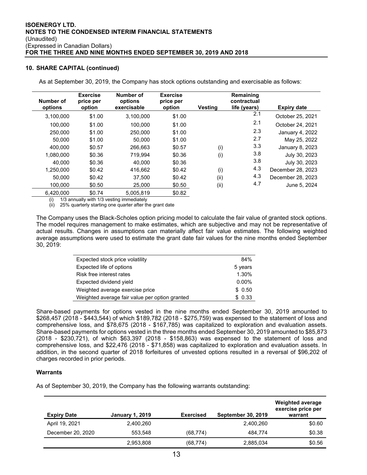#### **10. SHARE CAPITAL (continued)**

As at September 30, 2019, the Company has stock options outstanding and exercisable as follows:

| Number of<br>options | <b>Exercise</b><br>price per<br>option | Number of<br>options<br>exercisable | <b>Exercise</b><br>price per<br>option | <b>Vesting</b> | Remaining<br>contractual<br>life (years) | <b>Expiry date</b> |
|----------------------|----------------------------------------|-------------------------------------|----------------------------------------|----------------|------------------------------------------|--------------------|
| 3,100,000            | \$1.00                                 | 3.100.000                           | \$1.00                                 |                | 2.1                                      | October 25, 2021   |
| 100.000              | \$1.00                                 | 100.000                             | \$1.00                                 |                | 2.1                                      | October 24, 2021   |
| 250,000              | \$1.00                                 | 250,000                             | \$1.00                                 |                | 2.3                                      | January 4, 2022    |
| 50,000               | \$1.00                                 | 50.000                              | \$1.00                                 |                | 2.7                                      | May 25, 2022       |
| 400.000              | \$0.57                                 | 266.663                             | \$0.57                                 | (i)            | 3.3                                      | January 8, 2023    |
| 1,080,000            | \$0.36                                 | 719.994                             | \$0.36                                 | (i)            | 3.8                                      | July 30, 2023      |
| 40.000               | \$0.36                                 | 40.000                              | \$0.36                                 |                | 3.8                                      | July 30, 2023      |
| 1,250,000            | \$0.42                                 | 416.662                             | \$0.42                                 | (i)            | 4.3                                      | December 28, 2023  |
| 50,000               | \$0.42                                 | 37.500                              | \$0.42                                 | (ii)           | 4.3                                      | December 28, 2023  |
| 100.000              | \$0.50                                 | 25,000                              | \$0.50                                 | (ii)           | 4.7                                      | June 5, 2024       |
| 6.420.000            | \$0.74                                 | 5.005.819                           | \$0.82                                 |                |                                          |                    |

1/3 annually with 1/3 vesting immediately

(ii) 25% quarterly starting one quarter after the grant date

The Company uses the Black-Scholes option pricing model to calculate the fair value of granted stock options. The model requires management to make estimates, which are subjective and may not be representative of actual results. Changes in assumptions can materially affect fair value estimates. The following weighted average assumptions were used to estimate the grant date fair values for the nine months ended September 30, 2019:

| Expected stock price volatility                | 84%      |
|------------------------------------------------|----------|
| Expected life of options                       | 5 years  |
| Risk free interest rates                       | 1.30%    |
| Expected dividend yield                        | $0.00\%$ |
| Weighted average exercise price                | \$0.50   |
| Weighted average fair value per option granted | \$0.33   |

Share-based payments for options vested in the nine months ended September 30, 2019 amounted to \$268,457 (2018 - \$443,544) of which \$189,782 (2018 - \$275,759) was expensed to the statement of loss and comprehensive loss, and \$78,675 (2018 - \$167,785) was capitalized to exploration and evaluation assets. Share-based payments for options vested in the three months ended September 30, 2019 amounted to \$85,873 (2018 - \$230,721), of which \$63,397 (2018 - \$158,863) was expensed to the statement of loss and comprehensive loss, and \$22,476 (2018 - \$71,858) was capitalized to exploration and evaluation assets. In addition, in the second quarter of 2018 forfeitures of unvested options resulted in a reversal of \$96,202 of charges recorded in prior periods.

#### **Warrants**

As of September 30, 2019, the Company has the following warrants outstanding:

| <b>Expiry Date</b> | <b>January 1, 2019</b> | <b>Exercised</b> | <b>September 30, 2019</b> | <b>Weighted average</b><br>exercise price per<br>warrant |
|--------------------|------------------------|------------------|---------------------------|----------------------------------------------------------|
| April 19, 2021     | 2,400,260              |                  | 2,400,260                 | \$0.60                                                   |
| December 20, 2020  | 553,548                | (68, 774)        | 484.774                   | \$0.38                                                   |
|                    | 2,953,808              | (68, 774)        | 2,885,034                 | \$0.56                                                   |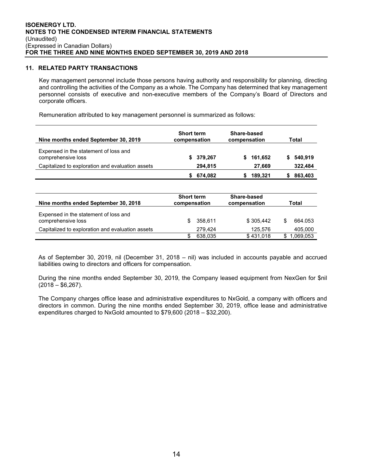#### **11. RELATED PARTY TRANSACTIONS**

Key management personnel include those persons having authority and responsibility for planning, directing and controlling the activities of the Company as a whole. The Company has determined that key management personnel consists of executive and non-executive members of the Company's Board of Directors and corporate officers.

Remuneration attributed to key management personnel is summarized as follows:

| Nine months ended September 30, 2019                        | <b>Short term</b><br>compensation | Share-based<br>compensation | Total         |
|-------------------------------------------------------------|-----------------------------------|-----------------------------|---------------|
| Expensed in the statement of loss and<br>comprehensive loss | 379,267<br>S.                     | 161,652<br>s.               | 540,919<br>S. |
| Capitalized to exploration and evaluation assets            | 294,815                           | 27.669                      | 322,484       |
|                                                             | 674,082                           | 189,321                     | 863,403       |

| Nine months ended September 30, 2018                        | <b>Short term</b><br>compensation | Share-based<br>compensation | Total     |
|-------------------------------------------------------------|-----------------------------------|-----------------------------|-----------|
| Expensed in the statement of loss and<br>comprehensive loss | 358.611<br>S                      | \$305.442                   | 664.053   |
| Capitalized to exploration and evaluation assets            | 279.424                           | 125.576                     | 405,000   |
|                                                             | 638.035                           | \$431.018                   | 1.069.053 |

As of September 30, 2019, nil (December 31, 2018 – nil) was included in accounts payable and accrued liabilities owing to directors and officers for compensation.

During the nine months ended September 30, 2019, the Company leased equipment from NexGen for \$nil  $(2018 - $6,267)$ .

The Company charges office lease and administrative expenditures to NxGold, a company with officers and directors in common. During the nine months ended September 30, 2019, office lease and administrative expenditures charged to NxGold amounted to \$79,600 (2018 – \$32,200).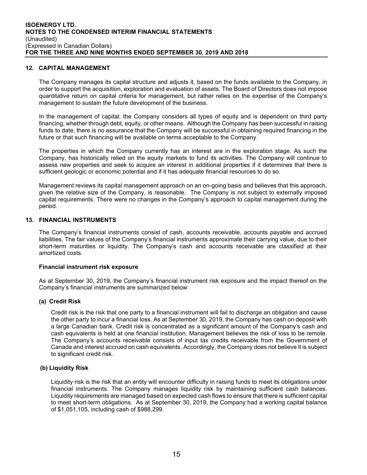#### **12. CAPITAL MANAGEMENT**

The Company manages its capital structure and adjusts it, based on the funds available to the Company, in order to support the acquisition, exploration and evaluation of assets. The Board of Directors does not impose quantitative return on capital criteria for management, but rather relies on the expertise of the Company's management to sustain the future development of the business.

In the management of capital, the Company considers all types of equity and is dependent on third party financing, whether through debt, equity, or other means. Although the Company has been successful in raising funds to date, there is no assurance that the Company will be successful in obtaining required financing in the future or that such financing will be available on terms acceptable to the Company.

The properties in which the Company currently has an interest are in the exploration stage. As such the Company, has historically relied on the equity markets to fund its activities. The Company will continue to assess new properties and seek to acquire an interest in additional properties if it determines that there is sufficient geologic or economic potential and if it has adequate financial resources to do so.

Management reviews its capital management approach on an on-going basis and believes that this approach, given the relative size of the Company, is reasonable. The Company is not subject to externally imposed capital requirements. There were no changes in the Company's approach to capital management during the period.

#### **13. FINANCIAL INSTRUMENTS**

The Company's financial instruments consist of cash, accounts receivable, accounts payable and accrued liabilities. The fair values of the Company's financial instruments approximate their carrying value, due to their short-term maturities or liquidity. The Company's cash and accounts receivable are classified at their amortized costs.

#### **Financial instrument risk exposure**

As at September 30, 2019, the Company's financial instrument risk exposure and the impact thereof on the Company's financial instruments are summarized below:

#### **(a) Credit Risk**

Credit risk is the risk that one party to a financial instrument will fail to discharge an obligation and cause the other party to incur a financial loss. As at September 30, 2019, the Company has cash on deposit with a large Canadian bank. Credit risk is concentrated as a significant amount of the Company's cash and cash equivalents is held at one financial institution. Management believes the risk of loss to be remote. The Company's accounts receivable consists of input tax credits receivable from the Government of Canada and interest accrued on cash equivalents. Accordingly, the Company does not believe it is subject to significant credit risk.

## **(b) Liquidity Risk**

Liquidity risk is the risk that an entity will encounter difficulty in raising funds to meet its obligations under financial instruments. The Company manages liquidity risk by maintaining sufficient cash balances. Liquidity requirements are managed based on expected cash flows to ensure that there is sufficient capital to meet short-term obligations. As at September 30, 2019, the Company had a working capital balance of \$1,051,105, including cash of \$988,299.